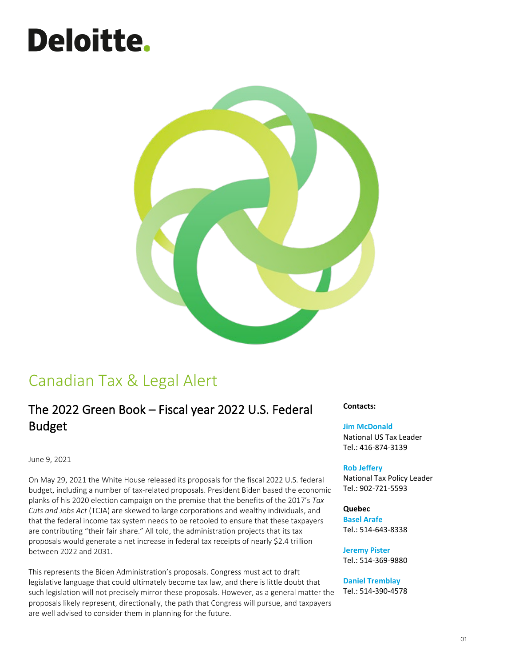# **Deloitte.**



# Canadian Tax & Legal Alert

# The 2022 Green Book – Fiscal year 2022 U.S. Federal Budget

June 9, 2021

On May 29, 2021 the White House released its proposals for the fiscal 2022 U.S. federal budget, including a number of tax-related proposals. President Biden based the economic planks of his 2020 election campaign on the premise that the benefits of the 2017's *Tax Cuts and Jobs Act* (TCJA) are skewed to large corporations and wealthy individuals, and that the federal income tax system needs to be retooled to ensure that these taxpayers are contributing "their fair share." All told, the administration projects that its tax proposals would generate a net increase in federal tax receipts of nearly \$2.4 trillion between 2022 and 2031.

This represents the Biden Administration's proposals. Congress must act to draft legislative language that could ultimately become tax law, and there is little doubt that such legislation will not precisely mirror these proposals. However, as a general matter the proposals likely represent, directionally, the path that Congress will pursue, and taxpayers are well advised to consider them in planning for the future.

**Contacts:**

#### **[Jim McDonald](mailto:jamemcdonald@deloitte.ca)**

National US Tax Leader Tel.: 416-874-3139

#### **[Rob Jeffery](mailto:rjeffery@deloitte.ca)**

National Tax Policy Leader Tel.: 902-721-5593

#### **Quebec**

**[Basel Arafe](mailto:barafe@deloitte.ca)** Tel.: 514-643-8338

**[Jeremy Pister](mailto:jpister@deloitte.ca)**

Tel.: 514-369-9880

#### **[Daniel Tremblay](mailto:dtremblay@deloitte.ca)**

Tel.: 514-390-4578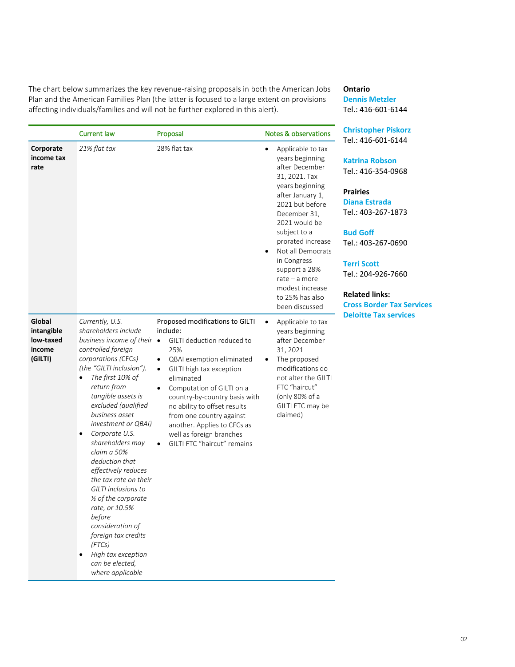The chart below summarizes the key revenue-raising proposals in both the American Jobs Plan and the American Families Plan (the latter is focused to a large extent on provisions affecting individuals/families and will not be further explored in this alert).

# **Ontario**

**[Dennis Metzler](mailto:dmetzler@deloitte.ca)** Tel.: 416-601-6144

|                                                        | <b>Current law</b>                                                                                                                                                                                                                                                                                                                                                                                                                                                                                                                                                                                               | Proposal                                                                                                                                                                                                                                                                                                                                                                                 | <b>Notes &amp; observations</b>                                                                                                                                                                                                                                                                                                              | <b>Christopher Piskorz</b>                                                                                                                                                                                                                       |  |
|--------------------------------------------------------|------------------------------------------------------------------------------------------------------------------------------------------------------------------------------------------------------------------------------------------------------------------------------------------------------------------------------------------------------------------------------------------------------------------------------------------------------------------------------------------------------------------------------------------------------------------------------------------------------------------|------------------------------------------------------------------------------------------------------------------------------------------------------------------------------------------------------------------------------------------------------------------------------------------------------------------------------------------------------------------------------------------|----------------------------------------------------------------------------------------------------------------------------------------------------------------------------------------------------------------------------------------------------------------------------------------------------------------------------------------------|--------------------------------------------------------------------------------------------------------------------------------------------------------------------------------------------------------------------------------------------------|--|
| Corporate<br>income tax<br>rate                        | 21% flat tax                                                                                                                                                                                                                                                                                                                                                                                                                                                                                                                                                                                                     | 28% flat tax                                                                                                                                                                                                                                                                                                                                                                             | Applicable to tax<br>٠<br>years beginning<br>after December<br>31, 2021. Tax<br>years beginning<br>after January 1,<br>2021 but before<br>December 31,<br>2021 would be<br>subject to a<br>prorated increase<br>Not all Democrats<br>in Congress<br>support a 28%<br>rate $-$ a more<br>modest increase<br>to 25% has also<br>been discussed | Tel.: 416-601-6144<br><b>Katrina Robson</b><br>Tel.: 416-354-0968<br><b>Prairies</b><br><b>Diana Estrada</b><br>Tel.: 403-267-1873<br><b>Bud Goff</b><br>Tel.: 403-267-0690<br><b>Terri Scott</b><br>Tel.: 204-926-7660<br><b>Related links:</b> |  |
| Global<br>intangible<br>low-taxed<br>income<br>(GILTI) | Currently, U.S.<br>shareholders include<br>business income of their $\bullet$<br>controlled foreign<br>corporations (CFCs)<br>(the "GILTI inclusion").<br>The first 10% of<br>$\bullet$<br>return from<br>tangible assets is<br>excluded (qualified<br>business asset<br>investment or QBAI)<br>Corporate U.S.<br>shareholders may<br>claim a 50%<br>deduction that<br>effectively reduces<br>the tax rate on their<br>GILTI inclusions to<br>1/2 of the corporate<br>rate, or 10.5%<br>before<br>consideration of<br>foreign tax credits<br>(FTCs)<br>High tax exception<br>can be elected,<br>where applicable | Proposed modifications to GILTI<br>include:<br>GILTI deduction reduced to<br>25%<br>QBAI exemption eliminated<br>$\bullet$<br>GILTI high tax exception<br>eliminated<br>Computation of GILTI on a<br>country-by-country basis with<br>no ability to offset results<br>from one country against<br>another. Applies to CFCs as<br>well as foreign branches<br>GILTI FTC "haircut" remains | Applicable to tax<br>٠<br>years beginning<br>after December<br>31, 2021<br>The proposed<br>$\bullet$<br>modifications do<br>not alter the GILTI<br>FTC "haircut"<br>(only 80% of a<br>GILTI FTC may be<br>claimed)                                                                                                                           | <b>Cross Border Tax Services</b><br><b>Deloitte Tax services</b>                                                                                                                                                                                 |  |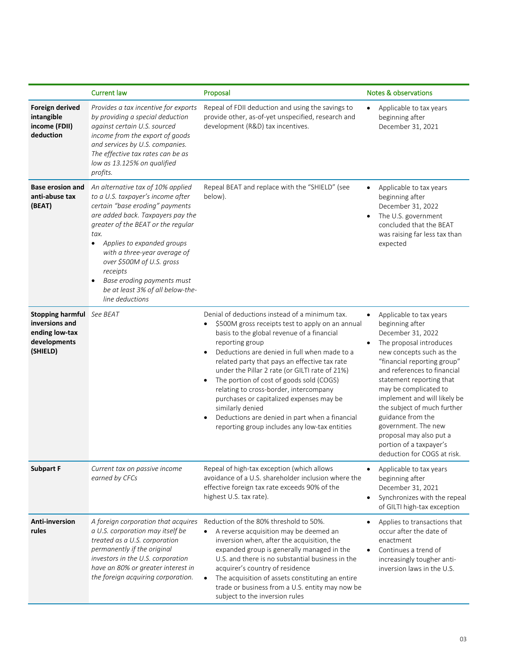|                                                                                                  | <b>Current law</b>                                                                                                                                                                                                                                                                                                                                                                       | Proposal                                                                                                                                                                                                                                                                                                                                                                                                                                                                                                                                                                                     | <b>Notes &amp; observations</b>                                                                                                                                                                                                                                                                                                                                                                                                                        |
|--------------------------------------------------------------------------------------------------|------------------------------------------------------------------------------------------------------------------------------------------------------------------------------------------------------------------------------------------------------------------------------------------------------------------------------------------------------------------------------------------|----------------------------------------------------------------------------------------------------------------------------------------------------------------------------------------------------------------------------------------------------------------------------------------------------------------------------------------------------------------------------------------------------------------------------------------------------------------------------------------------------------------------------------------------------------------------------------------------|--------------------------------------------------------------------------------------------------------------------------------------------------------------------------------------------------------------------------------------------------------------------------------------------------------------------------------------------------------------------------------------------------------------------------------------------------------|
| <b>Foreign derived</b><br>intangible<br>income (FDII)<br>deduction                               | Provides a tax incentive for exports<br>by providing a special deduction<br>against certain U.S. sourced<br>income from the export of goods<br>and services by U.S. companies.<br>The effective tax rates can be as<br>low as 13.125% on qualified<br>profits.                                                                                                                           | Repeal of FDII deduction and using the savings to<br>provide other, as-of-yet unspecified, research and<br>development (R&D) tax incentives.                                                                                                                                                                                                                                                                                                                                                                                                                                                 | Applicable to tax years<br>beginning after<br>December 31, 2021                                                                                                                                                                                                                                                                                                                                                                                        |
| <b>Base erosion and</b><br>anti-abuse tax<br>(BEAT)                                              | An alternative tax of 10% applied<br>to a U.S. taxpayer's income after<br>certain "base eroding" payments<br>are added back. Taxpayers pay the<br>greater of the BEAT or the regular<br>tax.<br>Applies to expanded groups<br>with a three-year average of<br>over \$500M of U.S. gross<br>receipts<br>Base eroding payments must<br>be at least 3% of all below-the-<br>line deductions | Repeal BEAT and replace with the "SHIELD" (see<br>below).                                                                                                                                                                                                                                                                                                                                                                                                                                                                                                                                    | Applicable to tax years<br>beginning after<br>December 31, 2022<br>The U.S. government<br>$\bullet$<br>concluded that the BEAT<br>was raising far less tax than<br>expected                                                                                                                                                                                                                                                                            |
| <b>Stopping harmful</b> See BEAT<br>inversions and<br>ending low-tax<br>developments<br>(SHIELD) |                                                                                                                                                                                                                                                                                                                                                                                          | Denial of deductions instead of a minimum tax.<br>\$500M gross receipts test to apply on an annual<br>basis to the global revenue of a financial<br>reporting group<br>Deductions are denied in full when made to a<br>related party that pays an effective tax rate<br>under the Pillar 2 rate (or GILTI rate of 21%)<br>The portion of cost of goods sold (COGS)<br>$\bullet$<br>relating to cross-border, intercompany<br>purchases or capitalized expenses may be<br>similarly denied<br>Deductions are denied in part when a financial<br>reporting group includes any low-tax entities | Applicable to tax years<br>$\bullet$<br>beginning after<br>December 31, 2022<br>The proposal introduces<br>new concepts such as the<br>"financial reporting group"<br>and references to financial<br>statement reporting that<br>may be complicated to<br>implement and will likely be<br>the subject of much further<br>guidance from the<br>government. The new<br>proposal may also put a<br>portion of a taxpayer's<br>deduction for COGS at risk. |
| <b>Subpart F</b>                                                                                 | Current tax on passive income<br>earned by CFCs                                                                                                                                                                                                                                                                                                                                          | Repeal of high-tax exception (which allows<br>avoidance of a U.S. shareholder inclusion where the<br>effective foreign tax rate exceeds 90% of the<br>highest U.S. tax rate).                                                                                                                                                                                                                                                                                                                                                                                                                | Applicable to tax years<br>beginning after<br>December 31, 2021<br>Synchronizes with the repeal<br>$\bullet$<br>of GILTI high-tax exception                                                                                                                                                                                                                                                                                                            |
| Anti-inversion<br>rules                                                                          | A foreign corporation that acquires<br>a U.S. corporation may itself be<br>treated as a U.S. corporation<br>permanently if the original<br>investors in the U.S. corporation<br>have an 80% or greater interest in<br>the foreign acquiring corporation.                                                                                                                                 | Reduction of the 80% threshold to 50%.<br>A reverse acquisition may be deemed an<br>$\bullet$<br>inversion when, after the acquisition, the<br>expanded group is generally managed in the<br>U.S. and there is no substantial business in the<br>acquirer's country of residence<br>The acquisition of assets constituting an entire<br>$\bullet$<br>trade or business from a U.S. entity may now be<br>subject to the inversion rules                                                                                                                                                       | Applies to transactions that<br>occur after the date of<br>enactment<br>Continues a trend of<br>increasingly tougher anti-<br>inversion laws in the U.S.                                                                                                                                                                                                                                                                                               |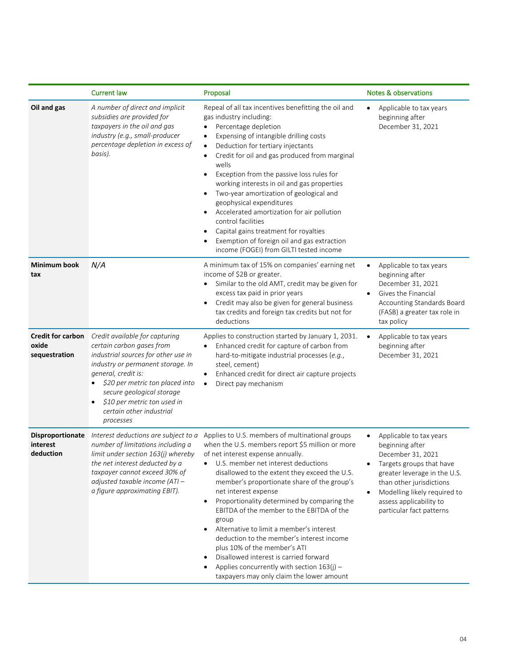|                                                    | <b>Current law</b>                                                                                                                                                                                                                                                                                     | Proposal                                                                                                                                                                                                                                                                                                                                                                                                                                                                                                                                                                                                                                                                                                 | <b>Notes &amp; observations</b>                                                                                                                                                                                                                             |
|----------------------------------------------------|--------------------------------------------------------------------------------------------------------------------------------------------------------------------------------------------------------------------------------------------------------------------------------------------------------|----------------------------------------------------------------------------------------------------------------------------------------------------------------------------------------------------------------------------------------------------------------------------------------------------------------------------------------------------------------------------------------------------------------------------------------------------------------------------------------------------------------------------------------------------------------------------------------------------------------------------------------------------------------------------------------------------------|-------------------------------------------------------------------------------------------------------------------------------------------------------------------------------------------------------------------------------------------------------------|
| Oil and gas                                        | A number of direct and implicit<br>subsidies are provided for<br>taxpayers in the oil and gas<br>industry (e.g., small-producer<br>percentage depletion in excess of<br>basis).                                                                                                                        | Repeal of all tax incentives benefitting the oil and<br>gas industry including:<br>Percentage depletion<br>$\bullet$<br>Expensing of intangible drilling costs<br>$\bullet$<br>Deduction for tertiary injectants<br>$\bullet$<br>Credit for oil and gas produced from marginal<br>$\bullet$<br>wells<br>Exception from the passive loss rules for<br>$\bullet$<br>working interests in oil and gas properties<br>Two-year amortization of geological and<br>$\bullet$<br>geophysical expenditures<br>Accelerated amortization for air pollution<br>control facilities<br>Capital gains treatment for royalties<br>Exemption of foreign oil and gas extraction<br>income (FOGEI) from GILTI tested income | Applicable to tax years<br>$\bullet$<br>beginning after<br>December 31, 2021                                                                                                                                                                                |
| Minimum book<br>tax                                | N/A                                                                                                                                                                                                                                                                                                    | A minimum tax of 15% on companies' earning net<br>income of \$2B or greater.<br>Similar to the old AMT, credit may be given for<br>$\bullet$<br>excess tax paid in prior years<br>Credit may also be given for general business<br>$\bullet$<br>tax credits and foreign tax credits but not for<br>deductions                                                                                                                                                                                                                                                                                                                                                                                            | Applicable to tax years<br>beginning after<br>December 31, 2021<br>Gives the Financial<br>Accounting Standards Board<br>(FASB) a greater tax role in<br>tax policy                                                                                          |
| <b>Credit for carbon</b><br>oxide<br>sequestration | Credit available for capturing<br>certain carbon gases from<br>industrial sources for other use in<br>industry or permanent storage. In<br>general, credit is:<br>\$20 per metric ton placed into<br>secure geological storage<br>\$10 per metric ton used in<br>certain other industrial<br>processes | Applies to construction started by January 1, 2031.<br>Enhanced credit for capture of carbon from<br>hard-to-mitigate industrial processes (e.g.,<br>steel, cement)<br>Enhanced credit for direct air capture projects<br>$\bullet$<br>Direct pay mechanism<br>$\bullet$                                                                                                                                                                                                                                                                                                                                                                                                                                 | Applicable to tax years<br>beginning after<br>December 31, 2021                                                                                                                                                                                             |
| Disproportionate<br>interest<br>deduction          | Interest deductions are subject to a<br>number of limitations including a<br>limit under section 163(j) whereby<br>the net interest deducted by a<br>taxpayer cannot exceed 30% of<br>adjusted taxable income (ATI-<br>a figure approximating EBIT).                                                   | Applies to U.S. members of multinational groups<br>when the U.S. members report \$5 million or more<br>of net interest expense annually.<br>U.S. member net interest deductions<br>disallowed to the extent they exceed the U.S.<br>member's proportionate share of the group's<br>net interest expense<br>Proportionality determined by comparing the<br>$\bullet$<br>EBITDA of the member to the EBITDA of the<br>group<br>Alternative to limit a member's interest<br>deduction to the member's interest income<br>plus 10% of the member's ATI<br>Disallowed interest is carried forward<br>Applies concurrently with section $163(j)$ -<br>taxpayers may only claim the lower amount                | Applicable to tax years<br>$\bullet$<br>beginning after<br>December 31, 2021<br>Targets groups that have<br>greater leverage in the U.S.<br>than other jurisdictions<br>Modelling likely required to<br>assess applicability to<br>particular fact patterns |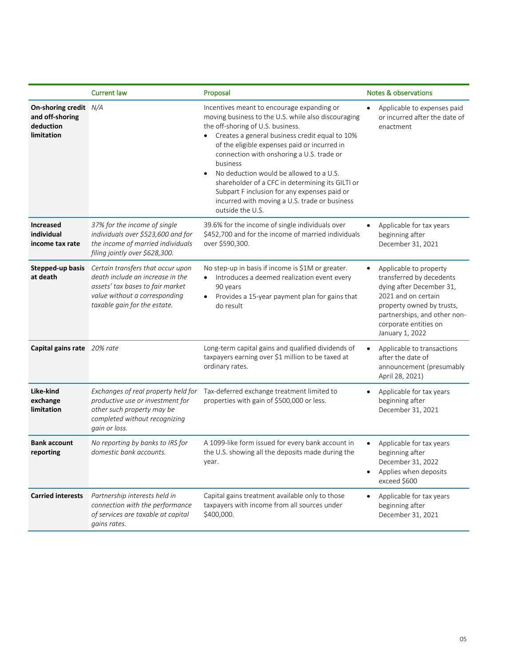|                                                                     | <b>Current law</b>                                                                                                                                                         | Proposal                                                                                                                                                                                                                                                                                                                                                                                                                                                                                                              | Notes & observations                                                                                                                                                                                           |
|---------------------------------------------------------------------|----------------------------------------------------------------------------------------------------------------------------------------------------------------------------|-----------------------------------------------------------------------------------------------------------------------------------------------------------------------------------------------------------------------------------------------------------------------------------------------------------------------------------------------------------------------------------------------------------------------------------------------------------------------------------------------------------------------|----------------------------------------------------------------------------------------------------------------------------------------------------------------------------------------------------------------|
| On-shoring credit N/A<br>and off-shoring<br>deduction<br>limitation |                                                                                                                                                                            | Incentives meant to encourage expanding or<br>moving business to the U.S. while also discouraging<br>the off-shoring of U.S. business.<br>Creates a general business credit equal to 10%<br>of the eligible expenses paid or incurred in<br>connection with onshoring a U.S. trade or<br>business<br>No deduction would be allowed to a U.S.<br>shareholder of a CFC in determining its GILTI or<br>Subpart F inclusion for any expenses paid or<br>incurred with moving a U.S. trade or business<br>outside the U.S. | Applicable to expenses paid<br>or incurred after the date of<br>enactment                                                                                                                                      |
| <b>Increased</b><br>individual<br>income tax rate                   | 37% for the income of single<br>individuals over \$523,600 and for<br>the income of married individuals<br>filing jointly over \$628,300.                                  | 39.6% for the income of single individuals over<br>\$452,700 and for the income of married individuals<br>over \$590,300.                                                                                                                                                                                                                                                                                                                                                                                             | Applicable for tax years<br>$\bullet$<br>beginning after<br>December 31, 2021                                                                                                                                  |
| Stepped-up basis<br>at death                                        | Certain transfers that occur upon<br>death include an increase in the<br>assets' tax bases to fair market<br>value without a corresponding<br>taxable gain for the estate. | No step-up in basis if income is \$1M or greater.<br>Introduces a deemed realization event every<br>$\bullet$<br>90 years<br>Provides a 15-year payment plan for gains that<br>do result                                                                                                                                                                                                                                                                                                                              | Applicable to property<br>transferred by decedents<br>dying after December 31,<br>2021 and on certain<br>property owned by trusts,<br>partnerships, and other non-<br>corporate entities on<br>January 1, 2022 |
| Capital gains rate 20% rate                                         |                                                                                                                                                                            | Long-term capital gains and qualified dividends of<br>taxpayers earning over \$1 million to be taxed at<br>ordinary rates.                                                                                                                                                                                                                                                                                                                                                                                            | Applicable to transactions<br>after the date of<br>announcement (presumably<br>April 28, 2021)                                                                                                                 |
| Like-kind<br>exchange<br>limitation                                 | Exchanges of real property held for<br>productive use or investment for<br>other such property may be<br>completed without recognizing<br>gain or loss.                    | Tax-deferred exchange treatment limited to<br>properties with gain of \$500,000 or less.                                                                                                                                                                                                                                                                                                                                                                                                                              | Applicable for tax years<br>beginning after<br>December 31, 2021                                                                                                                                               |
| <b>Bank account</b><br>reporting                                    | No reporting by banks to IRS for<br>domestic bank accounts.                                                                                                                | A 1099-like form issued for every bank account in<br>the U.S. showing all the deposits made during the<br>year.                                                                                                                                                                                                                                                                                                                                                                                                       | Applicable for tax years<br>beginning after<br>December 31, 2022<br>Applies when deposits<br>exceed \$600                                                                                                      |
| <b>Carried interests</b>                                            | Partnership interests held in<br>connection with the performance<br>of services are taxable at capital<br>gains rates.                                                     | Capital gains treatment available only to those<br>taxpayers with income from all sources under<br>\$400,000.                                                                                                                                                                                                                                                                                                                                                                                                         | Applicable for tax years<br>beginning after<br>December 31, 2021                                                                                                                                               |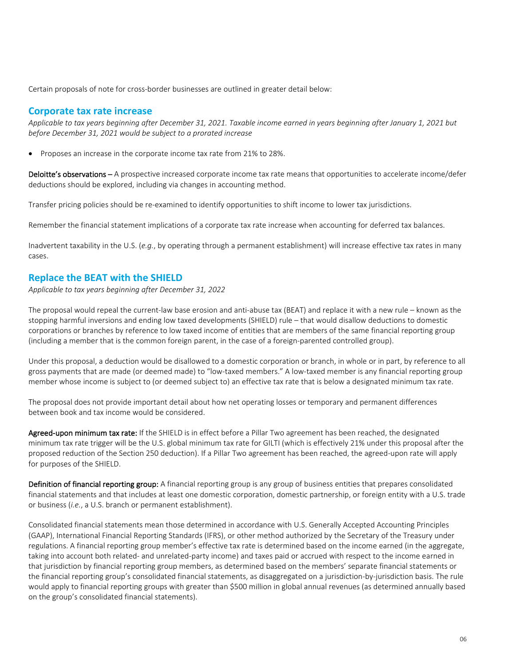Certain proposals of note for cross-border businesses are outlined in greater detail below:

#### **Corporate tax rate increase**

*Applicable to tax years beginning after December 31, 2021. Taxable income earned in years beginning after January 1, 2021 but before December 31, 2021 would be subject to a prorated increase*

• Proposes an increase in the corporate income tax rate from 21% to 28%.

Deloitte's observations – A prospective increased corporate income tax rate means that opportunities to accelerate income/defer deductions should be explored, including via changes in accounting method.

Transfer pricing policies should be re-examined to identify opportunities to shift income to lower tax jurisdictions.

Remember the financial statement implications of a corporate tax rate increase when accounting for deferred tax balances.

Inadvertent taxability in the U.S. (*e.g.*, by operating through a permanent establishment) will increase effective tax rates in many cases.

## **Replace the BEAT with the SHIELD**

*Applicable to tax years beginning after December 31, 2022*

The proposal would repeal the current-law base erosion and anti-abuse tax (BEAT) and replace it with a new rule – known as the stopping harmful inversions and ending low taxed developments (SHIELD) rule – that would disallow deductions to domestic corporations or branches by reference to low taxed income of entities that are members of the same financial reporting group (including a member that is the common foreign parent, in the case of a foreign-parented controlled group).

Under this proposal, a deduction would be disallowed to a domestic corporation or branch, in whole or in part, by reference to all gross payments that are made (or deemed made) to "low-taxed members." A low-taxed member is any financial reporting group member whose income is subject to (or deemed subject to) an effective tax rate that is below a designated minimum tax rate.

The proposal does not provide important detail about how net operating losses or temporary and permanent differences between book and tax income would be considered.

Agreed-upon minimum tax rate: If the SHIELD is in effect before a Pillar Two agreement has been reached, the designated minimum tax rate trigger will be the U.S. global minimum tax rate for GILTI (which is effectively 21% under this proposal after the proposed reduction of the Section 250 deduction). If a Pillar Two agreement has been reached, the agreed-upon rate will apply for purposes of the SHIELD.

Definition of financial reporting group: A financial reporting group is any group of business entities that prepares consolidated financial statements and that includes at least one domestic corporation, domestic partnership, or foreign entity with a U.S. trade or business (*i.e.*, a U.S. branch or permanent establishment).

Consolidated financial statements mean those determined in accordance with U.S. Generally Accepted Accounting Principles (GAAP), International Financial Reporting Standards (IFRS), or other method authorized by the Secretary of the Treasury under regulations. A financial reporting group member's effective tax rate is determined based on the income earned (in the aggregate, taking into account both related- and unrelated-party income) and taxes paid or accrued with respect to the income earned in that jurisdiction by financial reporting group members, as determined based on the members' separate financial statements or the financial reporting group's consolidated financial statements, as disaggregated on a jurisdiction-by-jurisdiction basis. The rule would apply to financial reporting groups with greater than \$500 million in global annual revenues (as determined annually based on the group's consolidated financial statements).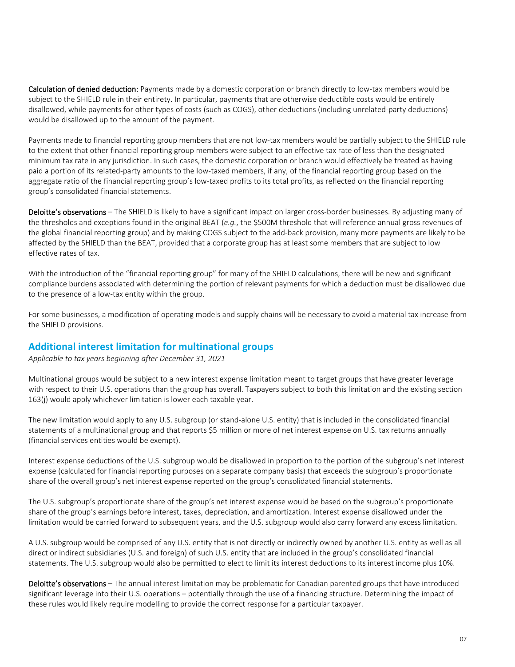Calculation of denied deduction: Payments made by a domestic corporation or branch directly to low-tax members would be subject to the SHIELD rule in their entirety. In particular, payments that are otherwise deductible costs would be entirely disallowed, while payments for other types of costs (such as COGS), other deductions (including unrelated-party deductions) would be disallowed up to the amount of the payment.

Payments made to financial reporting group members that are not low-tax members would be partially subject to the SHIELD rule to the extent that other financial reporting group members were subject to an effective tax rate of less than the designated minimum tax rate in any jurisdiction. In such cases, the domestic corporation or branch would effectively be treated as having paid a portion of its related-party amounts to the low-taxed members, if any, of the financial reporting group based on the aggregate ratio of the financial reporting group's low-taxed profits to its total profits, as reflected on the financial reporting group's consolidated financial statements.

Deloitte's observations – The SHIELD is likely to have a significant impact on larger cross-border businesses. By adjusting many of the thresholds and exceptions found in the original BEAT (*e.g.*, the \$500M threshold that will reference annual gross revenues of the global financial reporting group) and by making COGS subject to the add-back provision, many more payments are likely to be affected by the SHIELD than the BEAT, provided that a corporate group has at least some members that are subject to low effective rates of tax.

With the introduction of the "financial reporting group" for many of the SHIELD calculations, there will be new and significant compliance burdens associated with determining the portion of relevant payments for which a deduction must be disallowed due to the presence of a low-tax entity within the group.

For some businesses, a modification of operating models and supply chains will be necessary to avoid a material tax increase from the SHIELD provisions.

## **Additional interest limitation for multinational groups**

*Applicable to tax years beginning after December 31, 2021*

Multinational groups would be subject to a new interest expense limitation meant to target groups that have greater leverage with respect to their U.S. operations than the group has overall. Taxpayers subject to both this limitation and the existing section 163(j) would apply whichever limitation is lower each taxable year.

The new limitation would apply to any U.S. subgroup (or stand-alone U.S. entity) that is included in the consolidated financial statements of a multinational group and that reports \$5 million or more of net interest expense on U.S. tax returns annually (financial services entities would be exempt).

Interest expense deductions of the U.S. subgroup would be disallowed in proportion to the portion of the subgroup's net interest expense (calculated for financial reporting purposes on a separate company basis) that exceeds the subgroup's proportionate share of the overall group's net interest expense reported on the group's consolidated financial statements.

The U.S. subgroup's proportionate share of the group's net interest expense would be based on the subgroup's proportionate share of the group's earnings before interest, taxes, depreciation, and amortization. Interest expense disallowed under the limitation would be carried forward to subsequent years, and the U.S. subgroup would also carry forward any excess limitation.

A U.S. subgroup would be comprised of any U.S. entity that is not directly or indirectly owned by another U.S. entity as well as all direct or indirect subsidiaries (U.S. and foreign) of such U.S. entity that are included in the group's consolidated financial statements. The U.S. subgroup would also be permitted to elect to limit its interest deductions to its interest income plus 10%.

Deloitte's observations - The annual interest limitation may be problematic for Canadian parented groups that have introduced significant leverage into their U.S. operations – potentially through the use of a financing structure. Determining the impact of these rules would likely require modelling to provide the correct response for a particular taxpayer.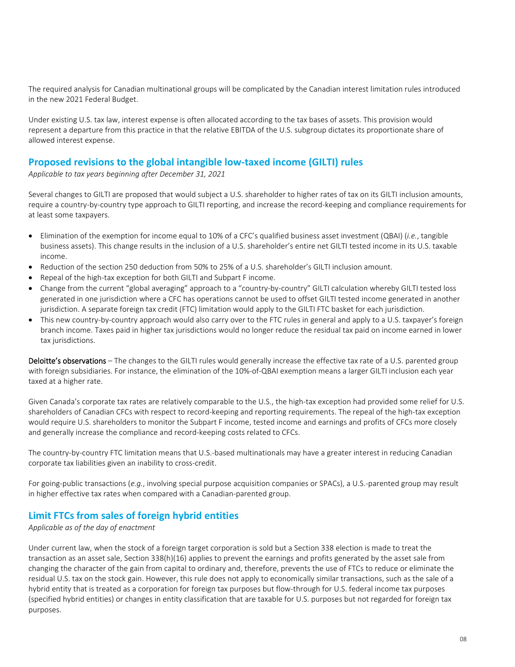The required analysis for Canadian multinational groups will be complicated by the Canadian interest limitation rules introduced in the new 2021 Federal Budget.

Under existing U.S. tax law, interest expense is often allocated according to the tax bases of assets. This provision would represent a departure from this practice in that the relative EBITDA of the U.S. subgroup dictates its proportionate share of allowed interest expense.

## **Proposed revisions to the global intangible low-taxed income (GILTI) rules**

*Applicable to tax years beginning after December 31, 2021*

Several changes to GILTI are proposed that would subject a U.S. shareholder to higher rates of tax on its GILTI inclusion amounts, require a country-by-country type approach to GILTI reporting, and increase the record-keeping and compliance requirements for at least some taxpayers.

- Elimination of the exemption for income equal to 10% of a CFC's qualified business asset investment (QBAI) (*i.e.*, tangible business assets). This change results in the inclusion of a U.S. shareholder's entire net GILTI tested income in its U.S. taxable income.
- Reduction of the section 250 deduction from 50% to 25% of a U.S. shareholder's GILTI inclusion amount.
- Repeal of the high-tax exception for both GILTI and Subpart F income.
- Change from the current "global averaging" approach to a "country-by-country" GILTI calculation whereby GILTI tested loss generated in one jurisdiction where a CFC has operations cannot be used to offset GILTI tested income generated in another jurisdiction. A separate foreign tax credit (FTC) limitation would apply to the GILTI FTC basket for each jurisdiction.
- This new country-by-country approach would also carry over to the FTC rules in general and apply to a U.S. taxpayer's foreign branch income. Taxes paid in higher tax jurisdictions would no longer reduce the residual tax paid on income earned in lower tax jurisdictions.

Deloitte's observations – The changes to the GILTI rules would generally increase the effective tax rate of a U.S. parented group with foreign subsidiaries. For instance, the elimination of the 10%-of-QBAI exemption means a larger GILTI inclusion each year taxed at a higher rate.

Given Canada's corporate tax rates are relatively comparable to the U.S., the high-tax exception had provided some relief for U.S. shareholders of Canadian CFCs with respect to record-keeping and reporting requirements. The repeal of the high-tax exception would require U.S. shareholders to monitor the Subpart F income, tested income and earnings and profits of CFCs more closely and generally increase the compliance and record-keeping costs related to CFCs.

The country-by-country FTC limitation means that U.S.-based multinationals may have a greater interest in reducing Canadian corporate tax liabilities given an inability to cross-credit.

For going-public transactions (*e.g.*, involving special purpose acquisition companies or SPACs), a U.S.-parented group may result in higher effective tax rates when compared with a Canadian-parented group.

## **Limit FTCs from sales of foreign hybrid entities**

*Applicable as of the day of enactment*

Under current law, when the stock of a foreign target corporation is sold but a Section 338 election is made to treat the transaction as an asset sale, Section 338(h)(16) applies to prevent the earnings and profits generated by the asset sale from changing the character of the gain from capital to ordinary and, therefore, prevents the use of FTCs to reduce or eliminate the residual U.S. tax on the stock gain. However, this rule does not apply to economically similar transactions, such as the sale of a hybrid entity that is treated as a corporation for foreign tax purposes but flow-through for U.S. federal income tax purposes (specified hybrid entities) or changes in entity classification that are taxable for U.S. purposes but not regarded for foreign tax purposes.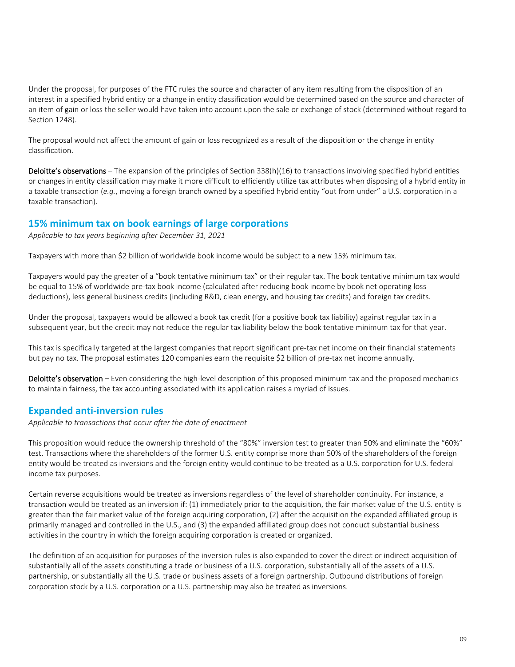Under the proposal, for purposes of the FTC rules the source and character of any item resulting from the disposition of an interest in a specified hybrid entity or a change in entity classification would be determined based on the source and character of an item of gain or loss the seller would have taken into account upon the sale or exchange of stock (determined without regard to Section 1248).

The proposal would not affect the amount of gain or loss recognized as a result of the disposition or the change in entity classification.

**Deloitte's observations** – The expansion of the principles of Section  $338(h)(16)$  to transactions involving specified hybrid entities or changes in entity classification may make it more difficult to efficiently utilize tax attributes when disposing of a hybrid entity in a taxable transaction (*e.g.*, moving a foreign branch owned by a specified hybrid entity "out from under" a U.S. corporation in a taxable transaction).

## **15% minimum tax on book earnings of large corporations**

*Applicable to tax years beginning after December 31, 2021*

Taxpayers with more than \$2 billion of worldwide book income would be subject to a new 15% minimum tax.

Taxpayers would pay the greater of a "book tentative minimum tax" or their regular tax. The book tentative minimum tax would be equal to 15% of worldwide pre-tax book income (calculated after reducing book income by book net operating loss deductions), less general business credits (including R&D, clean energy, and housing tax credits) and foreign tax credits.

Under the proposal, taxpayers would be allowed a book tax credit (for a positive book tax liability) against regular tax in a subsequent year, but the credit may not reduce the regular tax liability below the book tentative minimum tax for that year.

This tax is specifically targeted at the largest companies that report significant pre-tax net income on their financial statements but pay no tax. The proposal estimates 120 companies earn the requisite \$2 billion of pre-tax net income annually.

Deloitte's observation – Even considering the high-level description of this proposed minimum tax and the proposed mechanics to maintain fairness, the tax accounting associated with its application raises a myriad of issues.

## **Expanded anti-inversion rules**

*Applicable to transactions that occur after the date of enactment*

This proposition would reduce the ownership threshold of the "80%" inversion test to greater than 50% and eliminate the "60%" test. Transactions where the shareholders of the former U.S. entity comprise more than 50% of the shareholders of the foreign entity would be treated as inversions and the foreign entity would continue to be treated as a U.S. corporation for U.S. federal income tax purposes.

Certain reverse acquisitions would be treated as inversions regardless of the level of shareholder continuity. For instance, a transaction would be treated as an inversion if: (1) immediately prior to the acquisition, the fair market value of the U.S. entity is greater than the fair market value of the foreign acquiring corporation, (2) after the acquisition the expanded affiliated group is primarily managed and controlled in the U.S., and (3) the expanded affiliated group does not conduct substantial business activities in the country in which the foreign acquiring corporation is created or organized.

The definition of an acquisition for purposes of the inversion rules is also expanded to cover the direct or indirect acquisition of substantially all of the assets constituting a trade or business of a U.S. corporation, substantially all of the assets of a U.S. partnership, or substantially all the U.S. trade or business assets of a foreign partnership. Outbound distributions of foreign corporation stock by a U.S. corporation or a U.S. partnership may also be treated as inversions.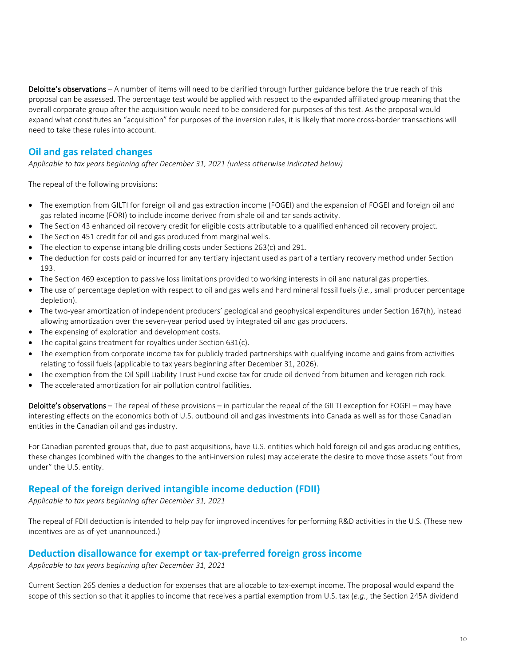Deloitte's observations – A number of items will need to be clarified through further guidance before the true reach of this proposal can be assessed. The percentage test would be applied with respect to the expanded affiliated group meaning that the overall corporate group after the acquisition would need to be considered for purposes of this test. As the proposal would expand what constitutes an "acquisition" for purposes of the inversion rules, it is likely that more cross-border transactions will need to take these rules into account.

# **Oil and gas related changes**

*Applicable to tax years beginning after December 31, 2021 (unless otherwise indicated below)*

The repeal of the following provisions:

- The exemption from GILTI for foreign oil and gas extraction income (FOGEI) and the expansion of FOGEI and foreign oil and gas related income (FORI) to include income derived from shale oil and tar sands activity.
- The Section 43 enhanced oil recovery credit for eligible costs attributable to a qualified enhanced oil recovery project.
- The Section 451 credit for oil and gas produced from marginal wells.
- The election to expense intangible drilling costs under Sections 263(c) and 291.
- The deduction for costs paid or incurred for any tertiary injectant used as part of a tertiary recovery method under Section 193.
- The Section 469 exception to passive loss limitations provided to working interests in oil and natural gas properties.
- The use of percentage depletion with respect to oil and gas wells and hard mineral fossil fuels (*i.e.*, small producer percentage depletion).
- The two-year amortization of independent producers' geological and geophysical expenditures under Section 167(h), instead allowing amortization over the seven-year period used by integrated oil and gas producers.
- The expensing of exploration and development costs.
- The capital gains treatment for royalties under Section 631(c).
- The exemption from corporate income tax for publicly traded partnerships with qualifying income and gains from activities relating to fossil fuels (applicable to tax years beginning after December 31, 2026).
- The exemption from the Oil Spill Liability Trust Fund excise tax for crude oil derived from bitumen and kerogen rich rock.
- The accelerated amortization for air pollution control facilities.

Deloitte's observations – The repeal of these provisions – in particular the repeal of the GILTI exception for FOGEI – may have interesting effects on the economics both of U.S. outbound oil and gas investments into Canada as well as for those Canadian entities in the Canadian oil and gas industry.

For Canadian parented groups that, due to past acquisitions, have U.S. entities which hold foreign oil and gas producing entities, these changes (combined with the changes to the anti-inversion rules) may accelerate the desire to move those assets "out from under" the U.S. entity.

## **Repeal of the foreign derived intangible income deduction (FDII)**

*Applicable to tax years beginning after December 31, 2021*

The repeal of FDII deduction is intended to help pay for improved incentives for performing R&D activities in the U.S. (These new incentives are as-of-yet unannounced.)

#### **Deduction disallowance for exempt or tax-preferred foreign gross income**

*Applicable to tax years beginning after December 31, 2021*

Current Section 265 denies a deduction for expenses that are allocable to tax-exempt income. The proposal would expand the scope of this section so that it applies to income that receives a partial exemption from U.S. tax (*e.g.*, the Section 245A dividend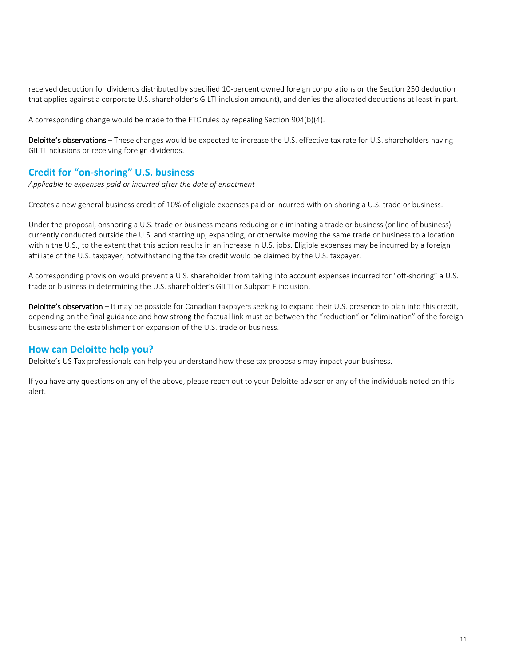received deduction for dividends distributed by specified 10-percent owned foreign corporations or the Section 250 deduction that applies against a corporate U.S. shareholder's GILTI inclusion amount), and denies the allocated deductions at least in part.

A corresponding change would be made to the FTC rules by repealing Section 904(b)(4).

Deloitte's observations – These changes would be expected to increase the U.S. effective tax rate for U.S. shareholders having GILTI inclusions or receiving foreign dividends.

# **Credit for "on-shoring" U.S. business**

*Applicable to expenses paid or incurred after the date of enactment*

Creates a new general business credit of 10% of eligible expenses paid or incurred with on-shoring a U.S. trade or business.

Under the proposal, onshoring a U.S. trade or business means reducing or eliminating a trade or business (or line of business) currently conducted outside the U.S. and starting up, expanding, or otherwise moving the same trade or business to a location within the U.S., to the extent that this action results in an increase in U.S. jobs. Eligible expenses may be incurred by a foreign affiliate of the U.S. taxpayer, notwithstanding the tax credit would be claimed by the U.S. taxpayer.

A corresponding provision would prevent a U.S. shareholder from taking into account expenses incurred for "off-shoring" a U.S. trade or business in determining the U.S. shareholder's GILTI or Subpart F inclusion.

Deloitte's observation – It may be possible for Canadian taxpayers seeking to expand their U.S. presence to plan into this credit, depending on the final guidance and how strong the factual link must be between the "reduction" or "elimination" of the foreign business and the establishment or expansion of the U.S. trade or business.

## **How can Deloitte help you?**

Deloitte's US Tax professionals can help you understand how these tax proposals may impact your business.

If you have any questions on any of the above, please reach out to your Deloitte advisor or any of the individuals noted on this alert.